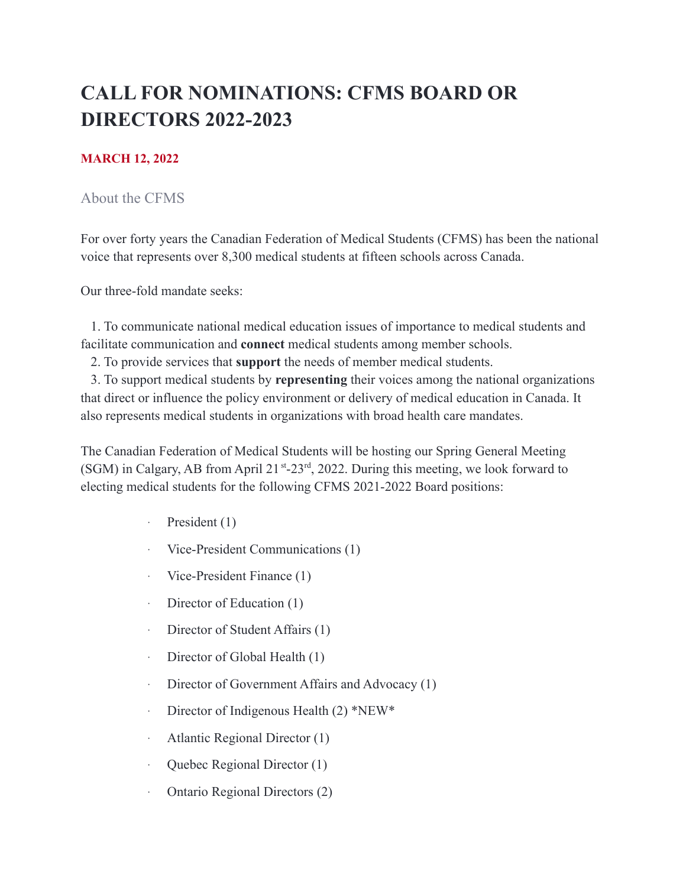# **CALL FOR NOMINATIONS: CFMS BOARD OR DIRECTORS 2022-2023**

#### **MARCH 12, 2022**

#### About the CFMS

For over forty years the Canadian Federation of Medical Students (CFMS) has been the national voice that represents over 8,300 medical students at fifteen schools across Canada.

Our three-fold mandate seeks:

1. To communicate national medical education issues of importance to medical students and facilitate communication and **connect** medical students among member schools.

2. To provide services that **support** the needs of member medical students.

3. To support medical students by **representing** their voices among the national organizations that direct or influence the policy environment or delivery of medical education in Canada. It also represents medical students in organizations with broad health care mandates.

The Canadian Federation of Medical Students will be hosting our Spring General Meeting (SGM) in Calgary, AB from April  $21^{st}$ -23<sup>rd</sup>, 2022. During this meeting, we look forward to electing medical students for the following CFMS 2021-2022 Board positions:

- · President (1)
- · Vice-President Communications (1)
- · Vice-President Finance (1)
- Director of Education (1)
- · Director of Student Affairs (1)
- · Director of Global Health (1)
- · Director of Government Affairs and Advocacy (1)
- · Director of Indigenous Health (2) \*NEW\*
- · Atlantic Regional Director (1)
- · Quebec Regional Director (1)
- · Ontario Regional Directors (2)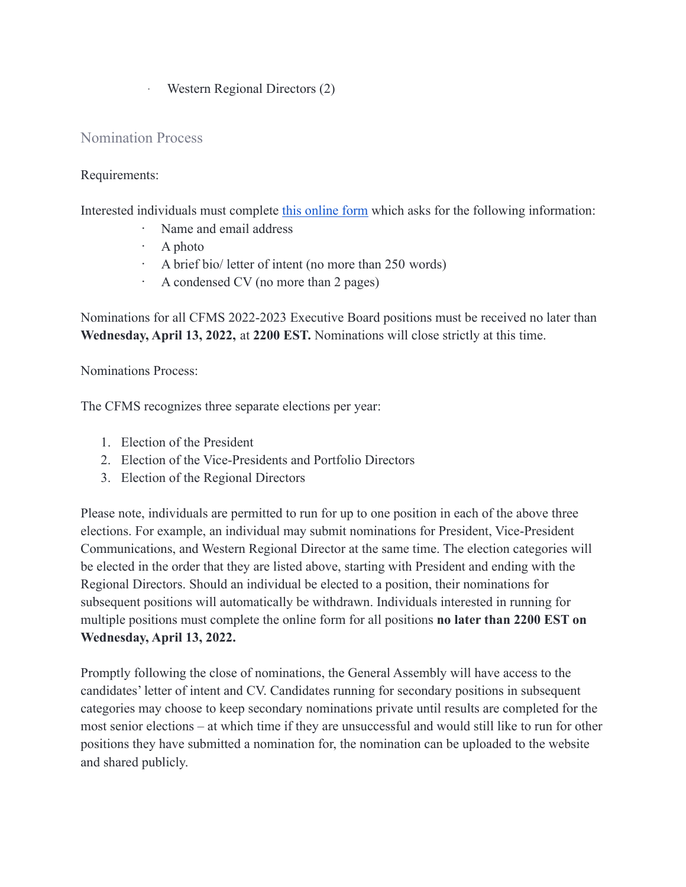· Western Regional Directors (2)

# Nomination Process

#### Requirements:

Interested individuals must complete [this online form](https://form.jotform.com/90487728198272) which asks for the following information:

- · Name and email address
- · A photo
- · A brief bio/ letter of intent (no more than 250 words)
- · A condensed CV (no more than 2 pages)

Nominations for all CFMS 2022-2023 Executive Board positions must be received no later than **Wednesday, April 13, 2022,** at **2200 EST.** Nominations will close strictly at this time.

Nominations Process:

The CFMS recognizes three separate elections per year:

- 1. Election of the President
- 2. Election of the Vice-Presidents and Portfolio Directors
- 3. Election of the Regional Directors

Please note, individuals are permitted to run for up to one position in each of the above three elections. For example, an individual may submit nominations for President, Vice-President Communications, and Western Regional Director at the same time. The election categories will be elected in the order that they are listed above, starting with President and ending with the Regional Directors. Should an individual be elected to a position, their nominations for subsequent positions will automatically be withdrawn. Individuals interested in running for multiple positions must complete the online form for all positions **no later than 2200 EST on Wednesday, April 13, 2022.**

Promptly following the close of nominations, the General Assembly will have access to the candidates' letter of intent and CV. Candidates running for secondary positions in subsequent categories may choose to keep secondary nominations private until results are completed for the most senior elections – at which time if they are unsuccessful and would still like to run for other positions they have submitted a nomination for, the nomination can be uploaded to the website and shared publicly.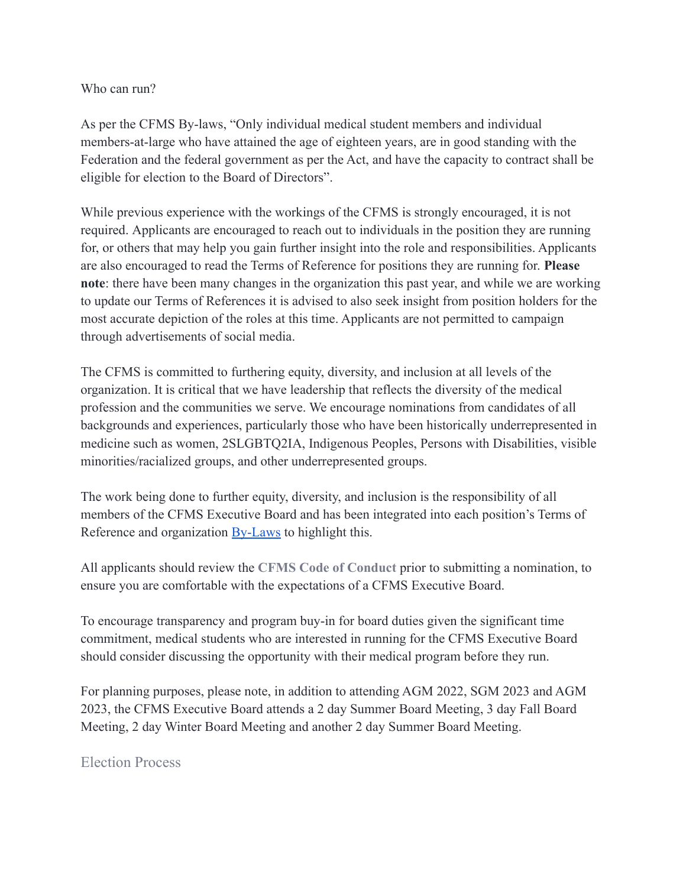Who can run?

As per the CFMS By-laws, "Only individual medical student members and individual members-at-large who have attained the age of eighteen years, are in good standing with the Federation and the federal government as per the Act, and have the capacity to contract shall be eligible for election to the Board of Directors".

While previous experience with the workings of the CFMS is strongly encouraged, it is not required. Applicants are encouraged to reach out to individuals in the position they are running for, or others that may help you gain further insight into the role and responsibilities. Applicants are also encouraged to read the Terms of Reference for positions they are running for. **Please note**: there have been many changes in the organization this past year, and while we are working to update our Terms of References it is advised to also seek insight from position holders for the most accurate depiction of the roles at this time. Applicants are not permitted to campaign through advertisements of social media.

The CFMS is committed to furthering equity, diversity, and inclusion at all levels of the organization. It is critical that we have leadership that reflects the diversity of the medical profession and the communities we serve. We encourage nominations from candidates of all backgrounds and experiences, particularly those who have been historically underrepresented in medicine such as women, 2SLGBTQ2IA, Indigenous Peoples, Persons with Disabilities, visible minorities/racialized groups, and other underrepresented groups.

The work being done to further equity, diversity, and inclusion is the responsibility of all members of the CFMS Executive Board and has been integrated into each position's Terms of Reference and organization **[By-Laws](https://cfms.org/files/internal-policy-bylaws/CFMS%20By-laws%20Changes%20for%20AGM.pdf)** to highlight this.

All applicants should review the **[CFMS Code of Conduct](https://docs.google.com/document/d/19ppfrfoaxu9KI0A5awi9JQXygAaIn5xb/edit)** prior to submitting a nomination, to ensure you are comfortable with the expectations of a CFMS Executive Board.

To encourage transparency and program buy-in for board duties given the significant time commitment, medical students who are interested in running for the CFMS Executive Board should consider discussing the opportunity with their medical program before they run.

For planning purposes, please note, in addition to attending AGM 2022, SGM 2023 and AGM 2023, the CFMS Executive Board attends a 2 day Summer Board Meeting, 3 day Fall Board Meeting, 2 day Winter Board Meeting and another 2 day Summer Board Meeting.

# Election Process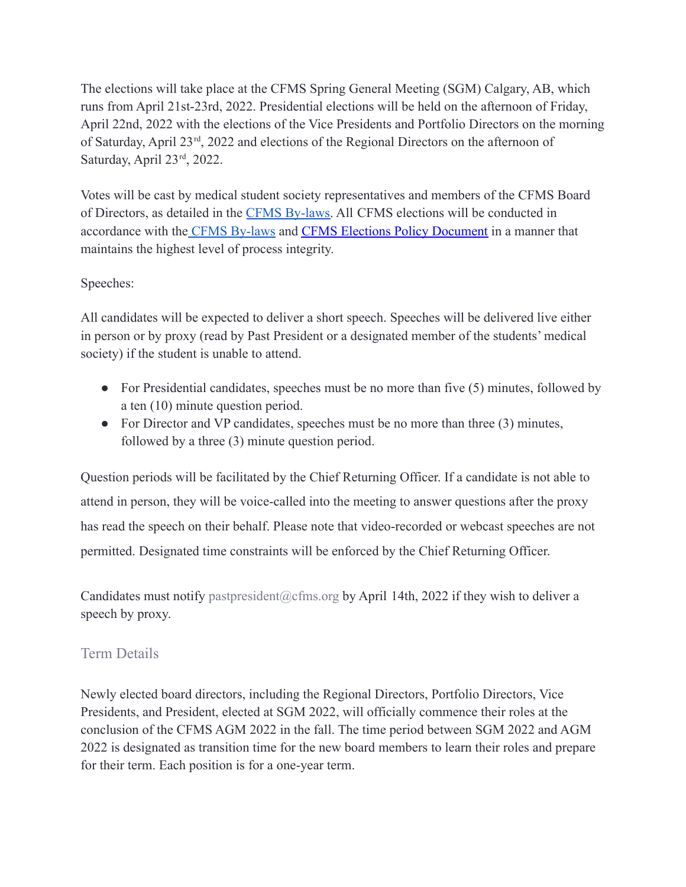The elections will take place at the CFMS Spring General Meeting (SGM) Calgary, AB, which runs from April 21st-23rd, 2022. Presidential elections will be held on the afternoon of Friday, April 22nd, 2022 with the elections of the Vice Presidents and Portfolio Directors on the morning of Saturday, April 23<sup>rd</sup>, 2022 and elections of the Regional Directors on the afternoon of Saturday, April 23rd, 2022.

Votes will be cast by medical student society representatives and members of the CFMS Board of Directors, as detailed in the [CFMS By-laws.](https://cfms.org/files/internal-policy-bylaws/CFMS%20By-laws%20Changes%20for%20AGM.pdf) All CFMS elections will be conducted in accordance with the [CFMS By-laws](https://cfms.org/files/internal-policy-bylaws/CFMS%20By-laws%20Changes%20for%20AGM.pdf) and CFMS Elections [Policy Document](https://docs.google.com/document/d/1Iu9FbRP5eLfT_EYgmEif35Fe7Q8AyuM7zAUuBV-xFg4/edit?usp=sharing) in a manner that maintains the highest level of process integrity.

# Speeches:

All candidates will be expected to deliver a short speech. Speeches will be delivered live either in person or by proxy (read by Past President or a designated member of the students' medical society) if the student is unable to attend.

- For Presidential candidates, speeches must be no more than five (5) minutes, followed by a ten (10) minute question period.
- For Director and VP candidates, speeches must be no more than three (3) minutes, followed by a three (3) minute question period.

Question periods will be facilitated by the Chief Returning Officer. If a candidate is not able to attend in person, they will be voice-called into the meeting to answer questions after the proxy has read the speech on their behalf. Please note that video-recorded or webcast speeches are not permitted. Designated time constraints will be enforced by the Chief Returning Officer.

Candidates must notify pastpresident@cfms.org by April 14th, 2022 if they wish to deliver a speech by proxy.

# Term Details

Newly elected board directors, including the Regional Directors, Portfolio Directors, Vice Presidents, and President, elected at SGM 2022, will officially commence their roles at the conclusion of the CFMS AGM 2022 in the fall. The time period between SGM 2022 and AGM 2022 is designated as transition time for the new board members to learn their roles and prepare for their term. Each position is for a one-year term.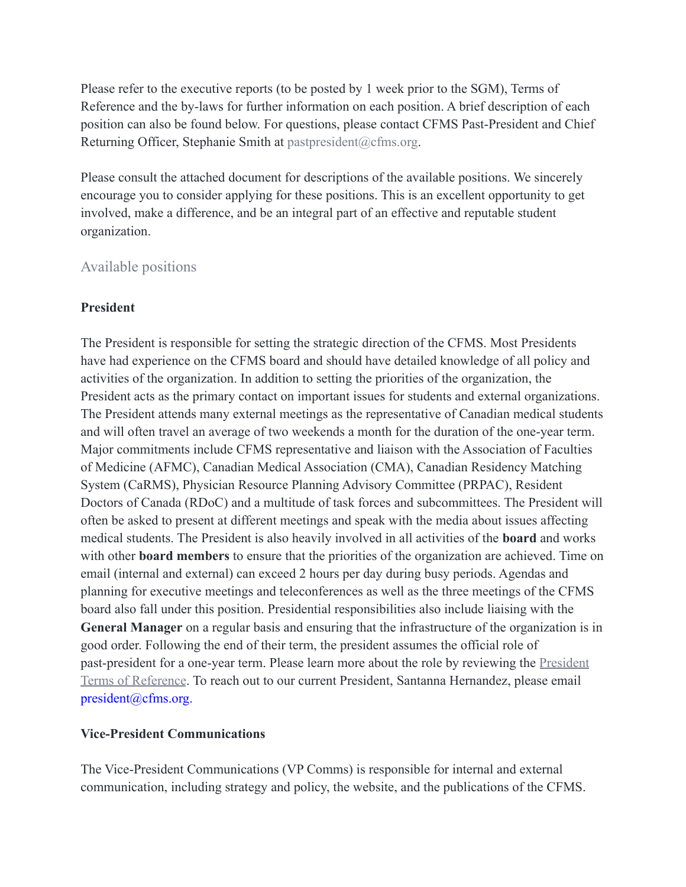Please refer to the executive reports (to be posted by 1 week prior to the SGM), Terms of Reference and the by-laws for further information on each position. A brief description of each position can also be found below. For questions, please contact CFMS Past-President and Chief Returning Officer, Stephanie Smith at pastpresident@cfms.org.

Please consult the attached document for descriptions of the available positions. We sincerely encourage you to consider applying for these positions. This is an excellent opportunity to get involved, make a difference, and be an integral part of an effective and reputable student organization.

# Available positions

# **President**

The President is responsible for setting the strategic direction of the CFMS. Most Presidents have had experience on the CFMS board and should have detailed knowledge of all policy and activities of the organization. In addition to setting the priorities of the organization, the President acts as the primary contact on important issues for students and external organizations. The President attends many external meetings as the representative of Canadian medical students and will often travel an average of two weekends a month for the duration of the one-year term. Major commitments include CFMS representative and liaison with the Association of Faculties of Medicine (AFMC), Canadian Medical Association (CMA), Canadian Residency Matching System (CaRMS), Physician Resource Planning Advisory Committee (PRPAC), Resident Doctors of Canada (RDoC) and a multitude of task forces and subcommittees. The President will often be asked to present at different meetings and speak with the media about issues affecting medical students. The President is also heavily involved in all activities of the **board** and works with other **board members** to ensure that the priorities of the organization are achieved. Time on email (internal and external) can exceed 2 hours per day during busy periods. Agendas and planning for executive meetings and teleconferences as well as the three meetings of the CFMS board also fall under this position. Presidential responsibilities also include liaising with the **General Manager** on a regular basis and ensuring that the infrastructure of the organization is in good order. Following the end of their term, the president assumes the official role of past-president for a one-year term. Please learn more about the role by reviewing the [President](https://drive.google.com/file/d/1pfKt1qc1j4qVekblA87KVeOaCy5iR20t/view?usp=sharing) [Terms of Reference](https://drive.google.com/file/d/1pfKt1qc1j4qVekblA87KVeOaCy5iR20t/view?usp=sharing). To reach out to our current President, Santanna Hernandez, please email president@cfms.org.

# **Vice-President Communications**

The Vice-President Communications (VP Comms) is responsible for internal and external communication, including strategy and policy, the website, and the publications of the CFMS.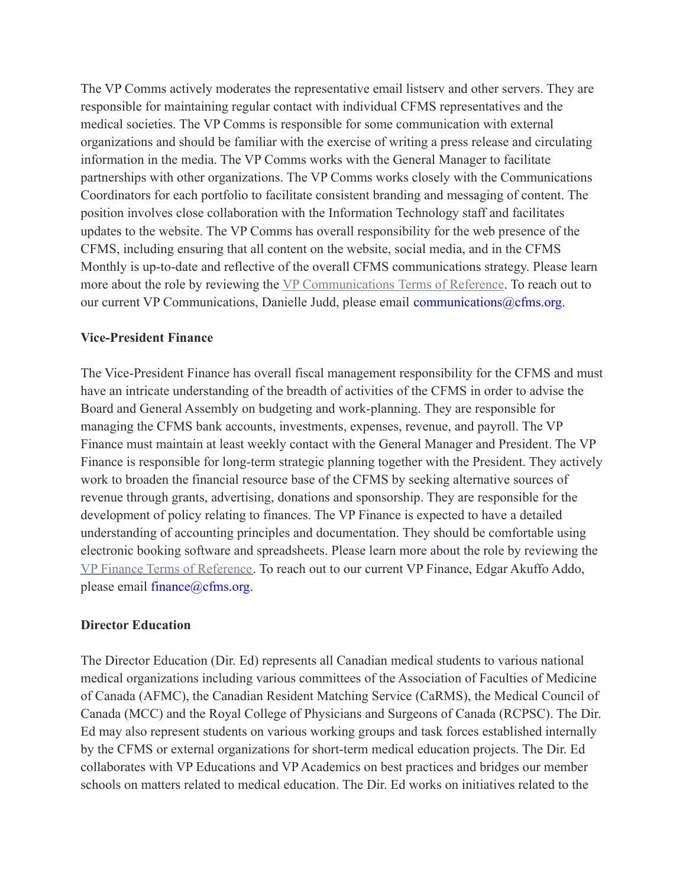The VP Comms actively moderates the representative email listserv and other servers. They are responsible for maintaining regular contact with individual CFMS representatives and the medical societies. The VP Comms is responsible for some communication with external organizations and should be familiar with the exercise of writing a press release and circulating information in the media. The VP Comms works with the General Manager to facilitate partnerships with other organizations. The VP Comms works closely with the Communications Coordinators for each portfolio to facilitate consistent branding and messaging of content. The position involves close collaboration with the Information Technology staff and facilitates updates to the website. The VP Comms has overall responsibility for the web presence of the CFMS, including ensuring that all content on the website, social media, and in the CFMS Monthly is up-to-date and reflective of the overall CFMS communications strategy. Please learn more about the role by reviewing the [VP Communications](https://drive.google.com/file/d/1t9KmjrMlEIWRM5McmAByS12ot2YTQ-gj/view) Terms of Reference. To reach out to our current VP Communications, Danielle Judd, please email communications@cfms.org.

#### **Vice-President Finance**

The Vice-President Finance has overall fiscal management responsibility for the CFMS and must have an intricate understanding of the breadth of activities of the CFMS in order to advise the Board and General Assembly on budgeting and work-planning. They are responsible for managing the CFMS bank accounts, investments, expenses, revenue, and payroll. The VP Finance must maintain at least weekly contact with the General Manager and President. The VP Finance is responsible for long-term strategic planning together with the President. They actively work to broaden the financial resource base of the CFMS by seeking alternative sources of revenue through grants, advertising, donations and sponsorship. They are responsible for the development of policy relating to finances. The VP Finance is expected to have a detailed understanding of accounting principles and documentation. They should be comfortable using electronic booking software and spreadsheets. Please learn more about the role by reviewing the [VP Finance Terms of Reference.](https://drive.google.com/file/d/11q5f2LA_MBX4aeca9_Qxzv6Dj2VFd8C2/view?usp=sharing) To reach out to our current VP Finance, Edgar Akuffo Addo, please email finance@cfms.org.

#### **Director Education**

The Director Education (Dir. Ed) represents all Canadian medical students to various national medical organizations including various committees of the Association of Faculties of Medicine of Canada (AFMC), the Canadian Resident Matching Service (CaRMS), the Medical Council of Canada (MCC) and the Royal College of Physicians and Surgeons of Canada (RCPSC). The Dir. Ed may also represent students on various working groups and task forces established internally by the CFMS or external organizations for short-term medical education projects. The Dir. Ed collaborates with VP Educations and VP Academics on best practices and bridges our member schools on matters related to medical education. The Dir. Ed works on initiatives related to the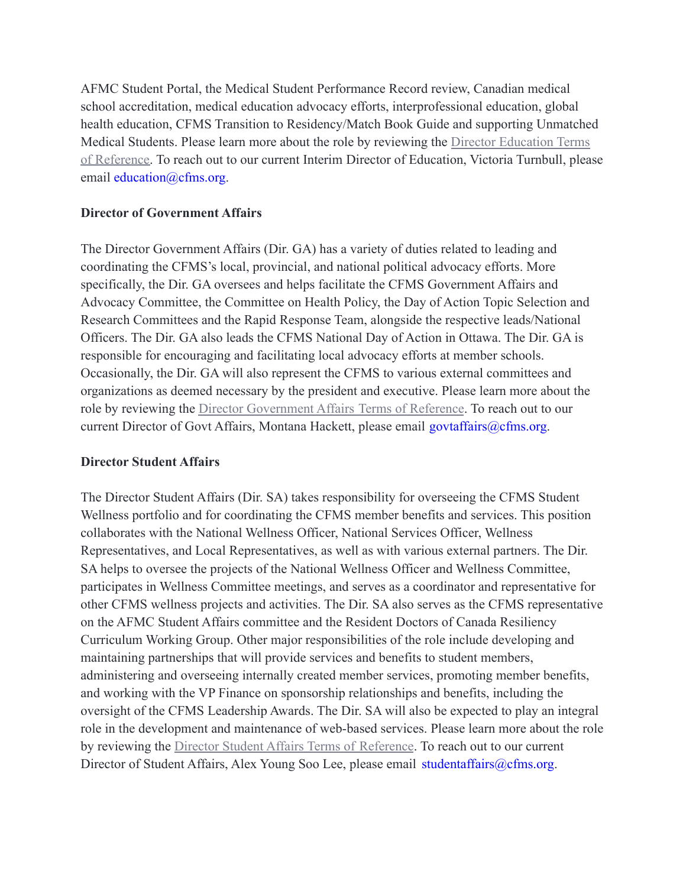AFMC Student Portal, the Medical Student Performance Record review, Canadian medical school accreditation, medical education advocacy efforts, interprofessional education, global health education, CFMS Transition to Residency/Match Book Guide and supporting Unmatched Medical Students. Please learn more about the role by reviewing the [Director Education Terms](https://drive.google.com/open?id=1eKn5p9awKHqtGPTNN_ZVhlsE5LiHjzxA) [of Reference.](https://drive.google.com/open?id=1eKn5p9awKHqtGPTNN_ZVhlsE5LiHjzxA) To reach out to our current Interim Director of Education, Victoria Turnbull, please email education@cfms.org.

#### **Director of Government Affairs**

The Director Government Affairs (Dir. GA) has a variety of duties related to leading and coordinating the CFMS's local, provincial, and national political advocacy efforts. More specifically, the Dir. GA oversees and helps facilitate the CFMS Government Affairs and Advocacy Committee, the Committee on Health Policy, the Day of Action Topic Selection and Research Committees and the Rapid Response Team, alongside the respective leads/National Officers. The Dir. GA also leads the CFMS National Day of Action in Ottawa. The Dir. GA is responsible for encouraging and facilitating local advocacy efforts at member schools. Occasionally, the Dir. GA will also represent the CFMS to various external committees and organizations as deemed necessary by the president and executive. Please learn more about the role by reviewing the [Director Government Affairs](https://drive.google.com/file/d/1EpSAMTC5spd7ykKWDrX-fAZoPCjJgBrx/view?usp=sharing) Terms of Reference. To reach out to our current Director of Govt Affairs, Montana Hackett, please email govtaffairs@cfms.org.

#### **Director Student Affairs**

The Director Student Affairs (Dir. SA) takes responsibility for overseeing the CFMS Student Wellness portfolio and for coordinating the CFMS member benefits and services. This position collaborates with the National Wellness Officer, National Services Officer, Wellness Representatives, and Local Representatives, as well as with various external partners. The Dir. SA helps to oversee the projects of the National Wellness Officer and Wellness Committee, participates in Wellness Committee meetings, and serves as a coordinator and representative for other CFMS wellness projects and activities. The Dir. SA also serves as the CFMS representative on the AFMC Student Affairs committee and the Resident Doctors of Canada Resiliency Curriculum Working Group. Other major responsibilities of the role include developing and maintaining partnerships that will provide services and benefits to student members, administering and overseeing internally created member services, promoting member benefits, and working with the VP Finance on sponsorship relationships and benefits, including the oversight of the CFMS Leadership Awards. The Dir. SA will also be expected to play an integral role in the development and maintenance of web-based services. Please learn more about the role by reviewing the [Director Student Affairs Terms of](https://drive.google.com/open?id=1utcD6OgfUArpJ3QgCnS2WFmo8N2nKruz) Reference. To reach out to our current Director of Student Affairs, Alex Young Soo Lee, please email studentaffairs@cfms.org.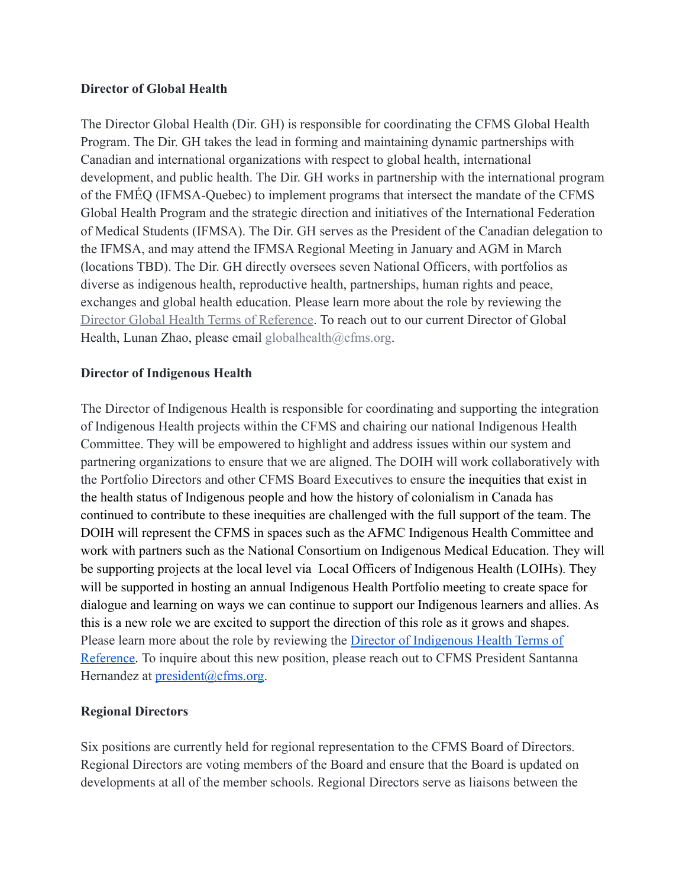#### **Director of Global Health**

The Director Global Health (Dir. GH) is responsible for coordinating the CFMS Global Health Program. The Dir. GH takes the lead in forming and maintaining dynamic partnerships with Canadian and international organizations with respect to global health, international development, and public health. The Dir. GH works in partnership with the international program of the FMÉQ (IFMSA-Quebec) to implement programs that intersect the mandate of the CFMS Global Health Program and the strategic direction and initiatives of the International Federation of Medical Students (IFMSA). The Dir. GH serves as the President of the Canadian delegation to the IFMSA, and may attend the IFMSA Regional Meeting in January and AGM in March (locations TBD). The Dir. GH directly oversees seven National Officers, with portfolios as diverse as indigenous health, reproductive health, partnerships, human rights and peace, exchanges and global health education. Please learn more about the role by reviewing the [Director Global Health Terms of Reference](https://drive.google.com/file/d/19KAC_GH1npZ_keXgLolMtxK3jh0n_cx0/view?usp=sharing). To reach out to our current Director of Global Health, Lunan Zhao, please email globalhealth@cfms.org.

#### **Director of Indigenous Health**

The Director of Indigenous Health is responsible for coordinating and supporting the integration of Indigenous Health projects within the CFMS and chairing our national Indigenous Health Committee. They will be empowered to highlight and address issues within our system and partnering organizations to ensure that we are aligned. The DOIH will work collaboratively with the Portfolio Directors and other CFMS Board Executives to ensure the inequities that exist in the health status of Indigenous people and how the history of colonialism in Canada has continued to contribute to these inequities are challenged with the full support of the team. The DOIH will represent the CFMS in spaces such as the AFMC Indigenous Health Committee and work with partners such as the National Consortium on Indigenous Medical Education. They will be supporting projects at the local level via Local Officers of Indigenous Health (LOIHs). They will be supported in hosting an annual Indigenous Health Portfolio meeting to create space for dialogue and learning on ways we can continue to support our Indigenous learners and allies. As this is a new role we are excited to support the direction of this role as it grows and shapes. Please learn more about the role by reviewing the [Director of Indigenous Health Terms of](https://docs.google.com/document/d/1B5KXXx3l_7iOiq7I96twNwQbBJyAMfPROAEc3Lp4Av4/edit?usp=sharing) [Reference.](https://docs.google.com/document/d/1B5KXXx3l_7iOiq7I96twNwQbBJyAMfPROAEc3Lp4Av4/edit?usp=sharing) To inquire about this new position, please reach out to CFMS President Santanna Hernandez at [president@cfms.org.](mailto:president@cfms.org)

#### **Regional Directors**

Six positions are currently held for regional representation to the CFMS Board of Directors. Regional Directors are voting members of the Board and ensure that the Board is updated on developments at all of the member schools. Regional Directors serve as liaisons between the